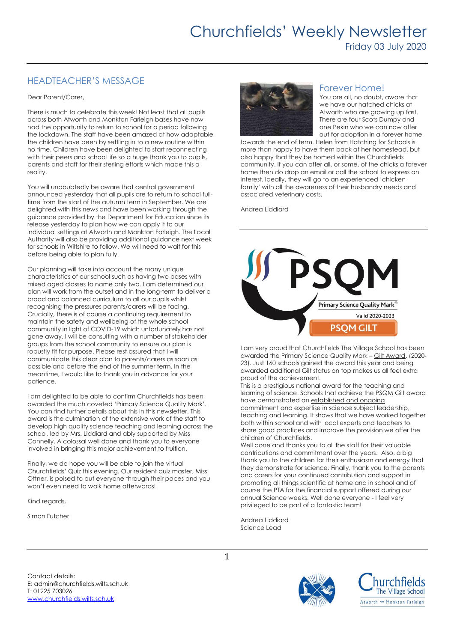# HEADTEACHER'S MESSAGE

#### Dear Parent/Carer,

There is much to celebrate this week! Not least that all pupils across both Atworth and Monkton Farleigh bases have now had the opportunity to return to school for a period following the lockdown. The staff have been amazed at how adaptable the children have been by settling in to a new routine within no time. Children have been delighted to start reconnecting with their peers and school life so a huge thank you to pupils, parents and staff for their sterling efforts which made this a reality.

You will undoubtedly be aware that central government announced yesterday that all pupils are to return to school fulltime from the start of the autumn term in September. We are delighted with this news and have been working through the guidance provided by the Department for Education since its release yesterday to plan how we can apply it to our individual settings at Atworth and Monkton Farleigh. The Local Authority will also be providing additional guidance next week for schools in Wiltshire to follow. We will need to wait for this before being able to plan fully.

Our planning will take into account the many unique characteristics of our school such as having two bases with mixed aged classes to name only two. I am determined our plan will work from the outset and in the long-term to deliver a broad and balanced curriculum to all our pupils whilst recognising the pressures parents/carers will be facing. Crucially, there is of course a continuing requirement to maintain the safety and wellbeing of the whole school community in light of COVID-19 which unfortunately has not gone away. I will be consulting with a number of stakeholder groups from the school community to ensure our plan is robustly fit for purpose. Please rest assured that I will communicate this clear plan to parents/carers as soon as possible and before the end of the summer term. In the meantime, I would like to thank you in advance for your patience.

I am delighted to be able to confirm Churchfields has been awarded the much coveted 'Primary Science Quality Mark'. You can find further details about this in this newsletter. This award is the culmination of the extensive work of the staff to develop high quality science teaching and learning across the school, led by Mrs. Liddiard and ably supported by Miss Connelly. A colossal well done and thank you to everyone involved in bringing this major achievement to fruition.

Finally, we do hope you will be able to join the virtual Churchfields' Quiz this evening. Our resident quiz master, Miss Ottner, is poised to put everyone through their paces and you won't even need to walk home afterwards!

Kind regards,

Simon Futcher.



### Forever Home!

You are all, no doubt, aware that we have our hatched chicks at Atworth who are growing up fast. There are four Scots Dumpy and one Pekin who we can now offer out for adoption in a forever home

towards the end of term. Helen from Hatching for Schools is more than happy to have them back at her homestead, but also happy that they be homed within the Churchfields community. If you can offer all, or some, of the chicks a forever home then do drop an email or call the school to express an interest. Ideally, they will go to an experienced 'chicken family' with all the awareness of their husbandry needs and associated veterinary costs.

Andrea Liddiard



I am very proud that Churchfields The Village School has been awarded the Primary Science Quality Mark – Gilt Award. (2020- 23). Just 160 schools gained the award this year and being awarded additional Gilt status on top makes us all feel extra proud of the achievement.

This is a prestigious national award for the teaching and learning of science. Schools that achieve the PSQM Gilt award have demonstrated an established and ongoing

commitment and expertise in science subject leadership, teaching and learning. It shows that we have worked together both within school and with local experts and teachers to share good practices and improve the provision we offer the children of Churchfields.

Well done and thanks you to all the staff for their valuable contributions and commitment over the years. Also, a big thank you to the children for their enthusiasm and energy that they demonstrate for science. Finally, thank you to the parents and carers for your continued contribution and support in promoting all things scientific at home and in school and of course the PTA for the financial support offered during our annual Science weeks. Well done everyone - I feel very privileged to be part of a fantastic team!

Andrea Liddiard Science Lead

Contact details: E: admin@churchfields.wilts.sch.uk T: 01225 703026 [www.churchfields.wilts.sch.uk](http://www.churchfields.wilts.sch.uk/) 



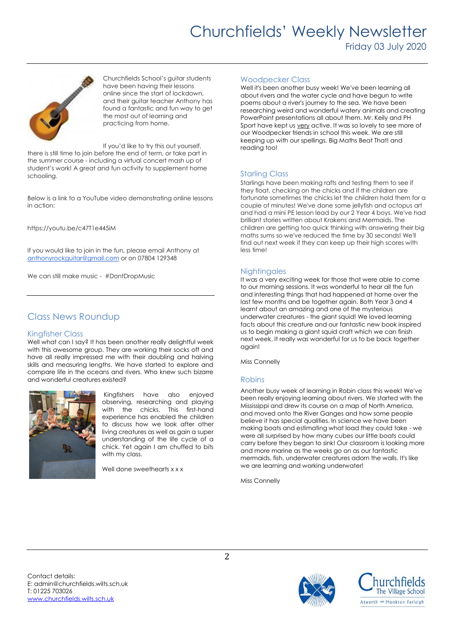# Churchfields' Weekly Newsletter Friday 03 July 2020



Churchfields School's guitar students have been having their lessons online since the start of lockdown, and their guitar teacher Anthony has found a fantastic and fun way to get the most out of learning and practicing from home.

If you'd like to try this out yourself,

there is still time to join before the end of term, or take part in the summer course - including a virtual concert mash up of student's work! A great and fun activity to supplement home schooling.

Below is a link to a YouTube video demonstrating online lessons in action:

https://youtu.be/c47T1e445iM

If you would like to join in the fun, please email Anthony at [anthonyrockguitar@gmail.com](mailto:anthonyrockguitar@gmail.com) or on 07804 129348

We can still make music - #DontDropMusic

## Class News Roundup

#### Kingfisher Class

Well what can I say? It has been another really delightful week with this awesome group. They are working their socks off and have all really impressed me with their doubling and halving skills and measuring lengths. We have started to explore and compare life in the oceans and rivers. Who knew such bizarre and wonderful creatures existed?



Kingfishers have also enjoyed observing, researching and playing with the chicks. This first-hand experience has enabled the children to discuss how we look after other living creatures as well as gain a super understanding of the life cycle of a chick. Yet again I am chuffed to bits with my class.

Well done sweethearts x x x

#### Woodpecker Class

Well it's been another busy week! We've been learning all about rivers and the water cycle and have begun to write poems about a river's journey to the sea. We have been researching weird and wonderful watery animals and creating PowerPoint presentations all about them. Mr. Keily and PH Sport have kept us very active. It was so lovely to see more of our Woodpecker friends in school this week. We are still keeping up with our spellings, Big Maths Beat That! and reading too!

#### Starling Class

Starlings have been making rafts and testing them to see if they float, checking on the chicks and if the children are fortunate sometimes the chicks let the children hold them for a couple of minutes! We've done some jellyfish and octopus art and had a mini PE lesson lead by our 2 Year 4 boys. We've had brilliant stories written about Krakens and Mermaids. The children are getting too quick thinking with answering their big maths sums so we've reduced the time by 30 seconds! We'll find out next week if they can keep up their high scores with less time!

#### **Nightingales**

It was a very exciting week for those that were able to come to our morning sessions. It was wonderful to hear all the fun and interesting things that had happened at home over the last few months and be together again. Both Year 3 and 4 learnt about an amazing and one of the mysterious underwater creatures - the giant squid! We loved learning facts about this creature and our fantastic new book inspired us to begin making a giant squid craft which we can finish next week. It really was wonderful for us to be back together again!

Miss Connelly

#### Robins

Another busy week of learning in Robin class this week! We've been really enjoying learning about rivers. We started with the Mississippi and drew its course on a map of North America, and moved onto the River Ganges and how some people believe it has special qualities. In science we have been making boats and estimating what load they could take - we were all surprised by how many cubes our little boats could carry before they began to sink! Our classroom is looking more and more marine as the weeks go on as our fantastic mermaids, fish, underwater creatures adorn the walls. It's like we are learning and working underwater!

Miss Connelly

Contact details: E: admin@churchfields.wilts.sch.uk T: 01225 703026 [www.churchfields.wilts.sch.uk](http://www.churchfields.wilts.sch.uk/)